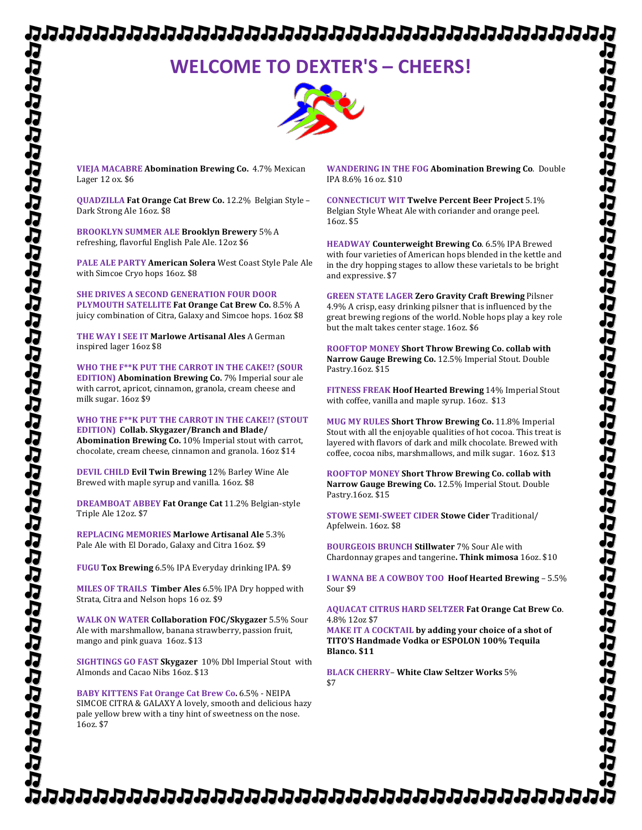# 

# **WELCOME TO DEXTER'S – CHEERS!**



**VIEJA MACABRE Abomination Brewing Co. 4.7% Mexican** Lager 12 ox. \$6

**QUADZILLA Fat Orange Cat Brew Co.** 12.2% Belgian Style -Dark Strong Ale 16oz. \$8

**BROOKLYN SUMMER ALE Brooklyn Brewery** 5% A refreshing, flavorful English Pale Ale. 12oz \$6

**PALE ALE PARTY American Solera** West Coast Style Pale Ale with Simcoe Cryo hops 16oz. \$8

**SHE DRIVES A SECOND GENERATION FOUR DOOR PLYMOUTH SATELLITE Fat Orange Cat Brew Co.** 8.5% A juicy combination of Citra, Galaxy and Simcoe hops. 16oz \$8

**THE WAY I SEE IT Marlowe Artisanal Ales A German** inspired lager 16oz \$8

WHO THE F<sup>\*\*</sup>K PUT THE CARROT IN THE CAKE!? (SOUR **EDITION) Abomination Brewing Co.** 7% Imperial sour ale with carrot, apricot, cinnamon, granola, cream cheese and milk sugar. 16oz \$9

WHO THE F\*\*K PUT THE CARROT IN THE CAKE!? (STOUT **EDITION) Collab. Skygazer/Branch and Blade/ Abomination Brewing Co.** 10% Imperial stout with carrot, chocolate, cream cheese, cinnamon and granola. 16oz \$14

**DEVIL CHILD Evil Twin Brewing 12% Barley Wine Ale** Brewed with maple syrup and vanilla. 16oz. \$8

**DREAMBOAT ABBEY Fat Orange Cat 11.2% Belgian-style** Triple Ale 12oz. \$7

**REPLACING MEMORIES Marlowe Artisanal Ale 5.3%** Pale Ale with El Dorado, Galaxy and Citra 16oz. \$9

**FUGU Tox Brewing** 6.5% IPA Everyday drinking IPA. \$9

**MILES OF TRAILS Timber Ales 6.5% IPA Dry hopped with** Strata, Citra and Nelson hops 16 oz. \$9

**WALK ON WATER Collaboration FOC/Skygazer** 5.5% Sour Ale with marshmallow, banana strawberry, passion fruit, mango and pink guava 16oz. \$13

**SIGHTINGS GO FAST Skygazer** 10% Dbl Imperial Stout with Almonds and Cacao Nibs 16oz. \$13

**BABY KITTENS Fat Orange Cat Brew Co. 6.5% - NEIPA** SIMCOE CITRA & GALAXY A lovely, smooth and delicious hazy pale yellow brew with a tiny hint of sweetness on the nose. 16oz. \$7

**WANDERING IN THE FOG Abomination Brewing Co.** Double IPA 8.6% 16 oz. \$10

**CONNECTICUT WIT Twelve Percent Beer Project** 5.1% Belgian Style Wheat Ale with coriander and orange peel. 16oz. \$5

**HEADWAY** Counterweight Brewing Co. 6.5% IPA Brewed with four varieties of American hops blended in the kettle and in the dry hopping stages to allow these varietals to be bright and expressive. \$7

**GREEN STATE LAGER Zero Gravity Craft Brewing Pilsner** 4.9% A crisp, easy drinking pilsner that is influenced by the great brewing regions of the world. Noble hops play a key role but the malt takes center stage. 16oz. \$6

**ROOFTOP MONEY Short Throw Brewing Co. collab with** Narrow Gauge Brewing Co. 12.5% Imperial Stout. Double Pastry.16oz. \$15

**FITNESS FREAK Hoof Hearted Brewing 14% Imperial Stout** with coffee, vanilla and maple syrup. 16oz. \$13

**MUG MY RULES Short Throw Brewing Co.** 11.8% Imperial Stout with all the enjoyable qualities of hot cocoa. This treat is layered with flavors of dark and milk chocolate. Brewed with coffee, cocoa nibs, marshmallows, and milk sugar. 16oz. \$13

**ROOFTOP MONEY Short Throw Brewing Co. collab with** Narrow Gauge Brewing Co. 12.5% Imperial Stout. Double Pastry.16oz. \$15

**STOWE SEMI-SWEET CIDER Stowe Cider Traditional/** Apfelwein. 16oz. \$8

**BOURGEOIS BRUNCH Stillwater 7% Sour Ale with** Chardonnay grapes and tangerine**. Think mimosa** 16oz. \$10

**I WANNA BE A COWBOY TOO Hoof Hearted Brewing - 5.5%** Sour \$9

### **AQUACAT CITRUS HARD SELTZER Fat Orange Cat Brew Co**. 4.8% 12oz \$7

**MAKE IT A COCKTAIL by adding your choice of a shot of TITO'S Handmade Vodka or ESPOLON 100% Tequila Blanco. \$11**

**BLACK CHERRY**– **White Claw Seltzer Works** 5% \$7

りわけわけわけわけわけわけはわけわけわけわけわけわけわけわけにかけ